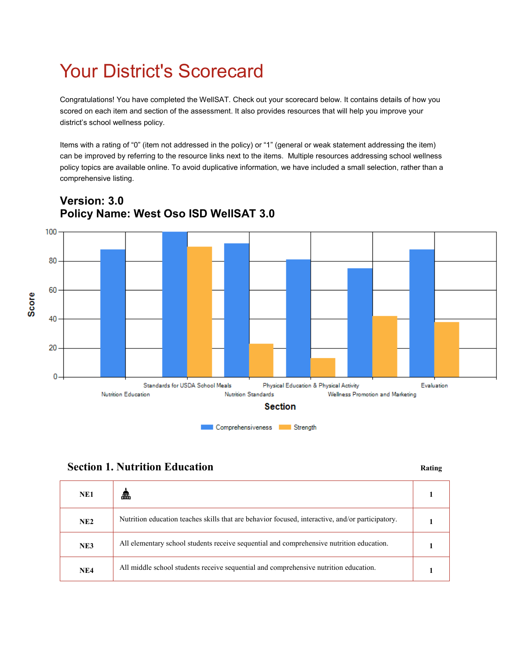# Your District's Scorecard

Congratulations! You have completed the WellSAT. Check out your scorecard below. It contains details of how you scored on each item and section of the assessment. It also provides resources that will help you improve your district's school wellness policy.

Items with a rating of "0" (item not addressed in the policy) or "1" (general or weak statement addressing the item) can be improved by referring to the resource links next to the items. Multiple resources addressing school wellness policy topics are available online. To avoid duplicative information, we have included a small selection, rather than a comprehensive listing.



### **Version: 3.0 Policy Name: West Oso ISD WellSAT 3.0**



| NE1 | £                                                                                                |  |
|-----|--------------------------------------------------------------------------------------------------|--|
| NE2 | Nutrition education teaches skills that are behavior focused, interactive, and/or participatory. |  |
| NE3 | All elementary school students receive sequential and comprehensive nutrition education.         |  |
| NE4 | All middle school students receive sequential and comprehensive nutrition education.             |  |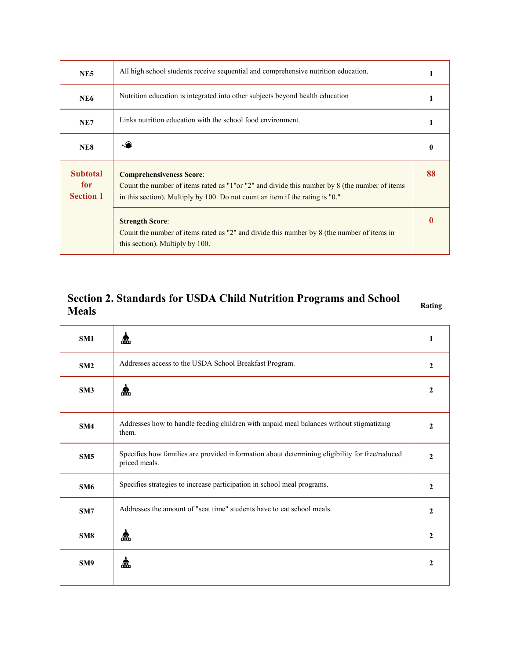| NE <sub>5</sub>                            | All high school students receive sequential and comprehensive nutrition education.                                                                                                                                 |    |
|--------------------------------------------|--------------------------------------------------------------------------------------------------------------------------------------------------------------------------------------------------------------------|----|
| NE6                                        | Nutrition education is integrated into other subjects beyond health education                                                                                                                                      |    |
| NE7                                        | Links nutrition education with the school food environment.                                                                                                                                                        |    |
| NE8                                        |                                                                                                                                                                                                                    | 0  |
| <b>Subtotal</b><br>for<br><b>Section 1</b> | <b>Comprehensiveness Score:</b><br>Count the number of items rated as "1" or "2" and divide this number by 8 (the number of items<br>in this section). Multiply by 100. Do not count an item if the rating is "0." | 88 |
|                                            | <b>Strength Score:</b><br>Count the number of items rated as "2" and divide this number by 8 (the number of items in<br>this section). Multiply by 100.                                                            |    |

#### **Section 2. Standards for USDA Child Nutrition Programs and School Meals Rating**

| SM1             | £                                                                                                               | 1              |
|-----------------|-----------------------------------------------------------------------------------------------------------------|----------------|
| SM2             | Addresses access to the USDA School Breakfast Program.                                                          | $\mathbf{2}$   |
| SM3             | £                                                                                                               | $\mathbf{2}$   |
| SM4             | Addresses how to handle feeding children with unpaid meal balances without stigmatizing<br>them.                | $\mathbf{2}$   |
| SM5             | Specifies how families are provided information about determining eligibility for free/reduced<br>priced meals. | $\mathbf{2}$   |
| SM6             | Specifies strategies to increase participation in school meal programs.                                         | $\overline{2}$ |
| SM7             | Addresses the amount of "seat time" students have to eat school meals.                                          | $\overline{2}$ |
| SM8             | £                                                                                                               | $\mathbf{2}$   |
| SM <sub>9</sub> | £                                                                                                               | $\mathbf{2}$   |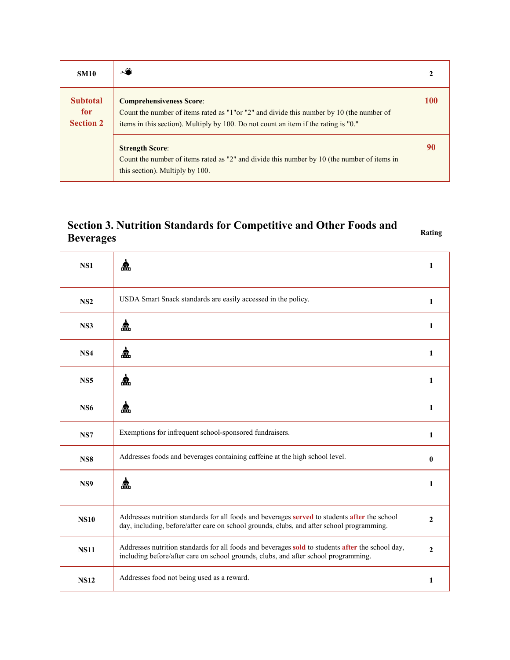| <b>SM10</b>                                | ا پھی ا                                                                                                                                                                                                             |            |
|--------------------------------------------|---------------------------------------------------------------------------------------------------------------------------------------------------------------------------------------------------------------------|------------|
| <b>Subtotal</b><br>for<br><b>Section 2</b> | <b>Comprehensiveness Score:</b><br>Count the number of items rated as "1" or "2" and divide this number by 10 (the number of<br>items in this section). Multiply by 100. Do not count an item if the rating is "0." | <b>100</b> |
|                                            | <b>Strength Score:</b><br>Count the number of items rated as "2" and divide this number by 10 (the number of items in<br>this section). Multiply by 100.                                                            | 90         |

#### **Section 3. Nutrition Standards for Competitive and Other Foods and Beverages** Rating

| NS1             | £                                                                                                                                                                                          | 1            |
|-----------------|--------------------------------------------------------------------------------------------------------------------------------------------------------------------------------------------|--------------|
| NS2             | USDA Smart Snack standards are easily accessed in the policy.                                                                                                                              | 1            |
| NS3             | 盒                                                                                                                                                                                          | $\mathbf{1}$ |
| NS4             | 盒                                                                                                                                                                                          | $\mathbf{1}$ |
| NS <sub>5</sub> | 盒                                                                                                                                                                                          | $\mathbf{1}$ |
| <b>NS6</b>      | 盒                                                                                                                                                                                          | $\mathbf{1}$ |
| NS7             | Exemptions for infrequent school-sponsored fundraisers.                                                                                                                                    | 1            |
| <b>NS8</b>      | Addresses foods and beverages containing caffeine at the high school level.                                                                                                                | $\bf{0}$     |
| NS9             | £                                                                                                                                                                                          | 1            |
| <b>NS10</b>     | Addresses nutrition standards for all foods and beverages served to students after the school<br>day, including, before/after care on school grounds, clubs, and after school programming. | $\mathbf{2}$ |
| <b>NS11</b>     | Addresses nutrition standards for all foods and beverages sold to students after the school day,<br>including before/after care on school grounds, clubs, and after school programming.    | $\mathbf{2}$ |
| <b>NS12</b>     | Addresses food not being used as a reward.                                                                                                                                                 | 1            |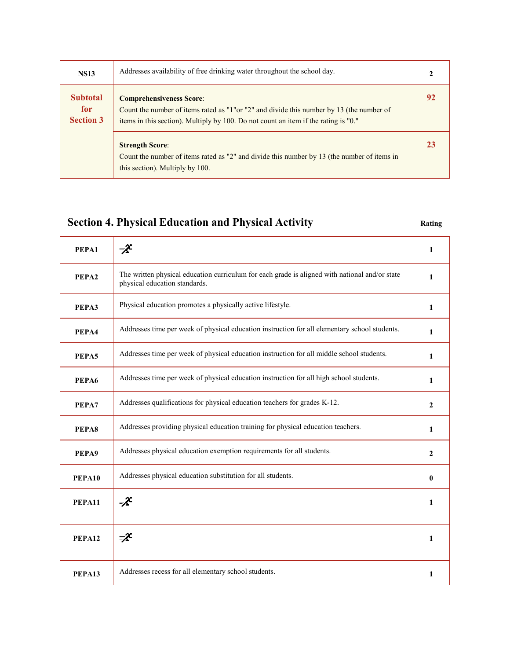| <b>NS13</b>                                | Addresses availability of free drinking water throughout the school day.                                                                                                                                            |    |
|--------------------------------------------|---------------------------------------------------------------------------------------------------------------------------------------------------------------------------------------------------------------------|----|
| <b>Subtotal</b><br>for<br><b>Section 3</b> | <b>Comprehensiveness Score:</b><br>Count the number of items rated as "1" or "2" and divide this number by 13 (the number of<br>items in this section). Multiply by 100. Do not count an item if the rating is "0." | 92 |
|                                            | <b>Strength Score:</b><br>Count the number of items rated as "2" and divide this number by 13 (the number of items in<br>this section). Multiply by 100.                                                            | 23 |

## **Section 4. Physical Education and Physical Activity Rating Rating**

| PEPA1  | ₹                                                                                                                               | 1            |
|--------|---------------------------------------------------------------------------------------------------------------------------------|--------------|
| PEPA2  | The written physical education curriculum for each grade is aligned with national and/or state<br>physical education standards. | 1            |
| PEPA3  | Physical education promotes a physically active lifestyle.                                                                      | 1            |
| PEPA4  | Addresses time per week of physical education instruction for all elementary school students.                                   | 1            |
| PEPA5  | Addresses time per week of physical education instruction for all middle school students.                                       | 1            |
| PEPA6  | Addresses time per week of physical education instruction for all high school students.                                         | 1            |
| PEPA7  | Addresses qualifications for physical education teachers for grades K-12.                                                       | 2            |
| PEPA8  | Addresses providing physical education training for physical education teachers.                                                | 1            |
| PEPA9  | Addresses physical education exemption requirements for all students.                                                           | $\mathbf{2}$ |
| PEPA10 | Addresses physical education substitution for all students.                                                                     | $\bf{0}$     |
| PEPA11 | ₹                                                                                                                               | 1            |
| PEPA12 | ₹                                                                                                                               | 1            |
| PEPA13 | Addresses recess for all elementary school students.                                                                            | 1            |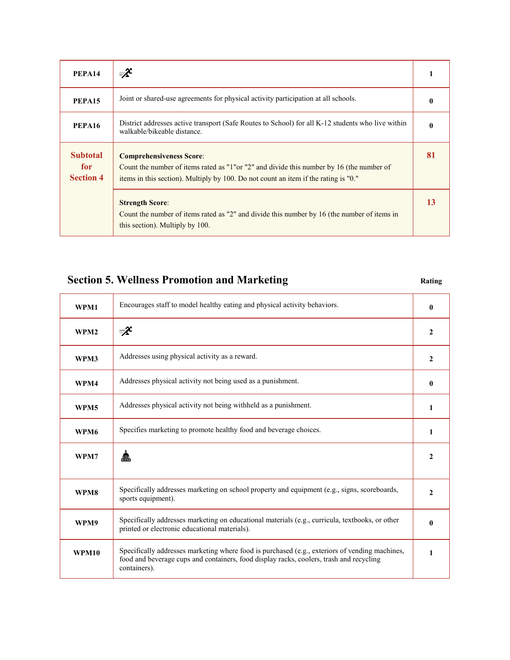| PEPA14                                              | ₹                                                                                                                                                                                                                   |    |
|-----------------------------------------------------|---------------------------------------------------------------------------------------------------------------------------------------------------------------------------------------------------------------------|----|
| PEPA15                                              | Joint or shared-use agreements for physical activity participation at all schools.                                                                                                                                  |    |
| PEPA16                                              | District addresses active transport (Safe Routes to School) for all K-12 students who live within<br>walkable/bikeable distance.                                                                                    |    |
| <b>Subtotal</b><br>for <b>s</b><br><b>Section 4</b> | <b>Comprehensiveness Score:</b><br>Count the number of items rated as "1" or "2" and divide this number by 16 (the number of<br>items in this section). Multiply by 100. Do not count an item if the rating is "0." | 81 |
|                                                     | <b>Strength Score:</b><br>Count the number of items rated as "2" and divide this number by 16 (the number of items in<br>this section). Multiply by 100.                                                            |    |

### **Section 5. Wellness Promotion and Marketing <b>Rating Rating**

 $\Gamma$ 

 $\top$ 

 $\overline{\mathbb{L}}$ 

| Encourages staff to model healthy eating and physical activity behaviors.                                                                                                                                 | $\mathbf{0}$ |
|-----------------------------------------------------------------------------------------------------------------------------------------------------------------------------------------------------------|--------------|
| ₹                                                                                                                                                                                                         | $\mathbf{2}$ |
| Addresses using physical activity as a reward.                                                                                                                                                            | $\mathbf{2}$ |
| Addresses physical activity not being used as a punishment.                                                                                                                                               | $\bf{0}$     |
| Addresses physical activity not being withheld as a punishment.                                                                                                                                           | 1            |
| Specifies marketing to promote healthy food and beverage choices.                                                                                                                                         | 1            |
| £                                                                                                                                                                                                         | 2            |
| Specifically addresses marketing on school property and equipment (e.g., signs, scoreboards,<br>sports equipment).                                                                                        | $\mathbf{2}$ |
| Specifically addresses marketing on educational materials (e.g., curricula, textbooks, or other<br>printed or electronic educational materials).                                                          | $\mathbf{0}$ |
| Specifically addresses marketing where food is purchased (e.g., exteriors of vending machines,<br>food and beverage cups and containers, food display racks, coolers, trash and recycling<br>containers). | 1            |
|                                                                                                                                                                                                           |              |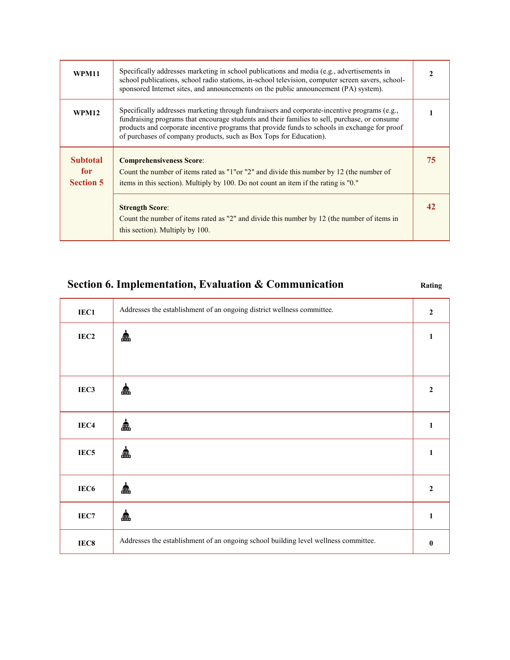| <b>WPM11</b>                                | Specifically addresses marketing in school publications and media (e.g., advertisements in<br>school publications, school radio stations, in-school television, computer screen savers, school-<br>sponsored Internet sites, and announcements on the public announcement (PA) system).                                                                              |    |
|---------------------------------------------|----------------------------------------------------------------------------------------------------------------------------------------------------------------------------------------------------------------------------------------------------------------------------------------------------------------------------------------------------------------------|----|
| <b>WPM12</b>                                | Specifically addresses marketing through fundraisers and corporate-incentive programs (e.g.,<br>fundraising programs that encourage students and their families to sell, purchase, or consume<br>products and corporate incentive programs that provide funds to schools in exchange for proof<br>of purchases of company products, such as Box Tops for Education). |    |
| <b>Subtotal</b><br>for.<br><b>Section 5</b> | <b>Comprehensiveness Score:</b><br>Count the number of items rated as "1" or "2" and divide this number by 12 (the number of<br>items in this section). Multiply by 100. Do not count an item if the rating is "0."                                                                                                                                                  | 75 |
|                                             | <b>Strength Score:</b><br>Count the number of items rated as "2" and divide this number by 12 (the number of items in<br>this section). Multiply by 100.                                                                                                                                                                                                             |    |

### **Section 6. Implementation, Evaluation & Communication Rating**

| IEC1             | Addresses the establishment of an ongoing district wellness committee.              | $\boldsymbol{2}$ |
|------------------|-------------------------------------------------------------------------------------|------------------|
| IEC <sub>2</sub> | ≞                                                                                   | 1                |
|                  |                                                                                     |                  |
| IEC <sub>3</sub> | 盀                                                                                   | $\overline{2}$   |
| IEC4             | 盀                                                                                   | 1                |
| IEC <sub>5</sub> | £                                                                                   | 1                |
| IEC6             | 盒                                                                                   | $\boldsymbol{2}$ |
| IEC7             | ≞                                                                                   | 1                |
| IEC8             | Addresses the establishment of an ongoing school building level wellness committee. | $\boldsymbol{0}$ |